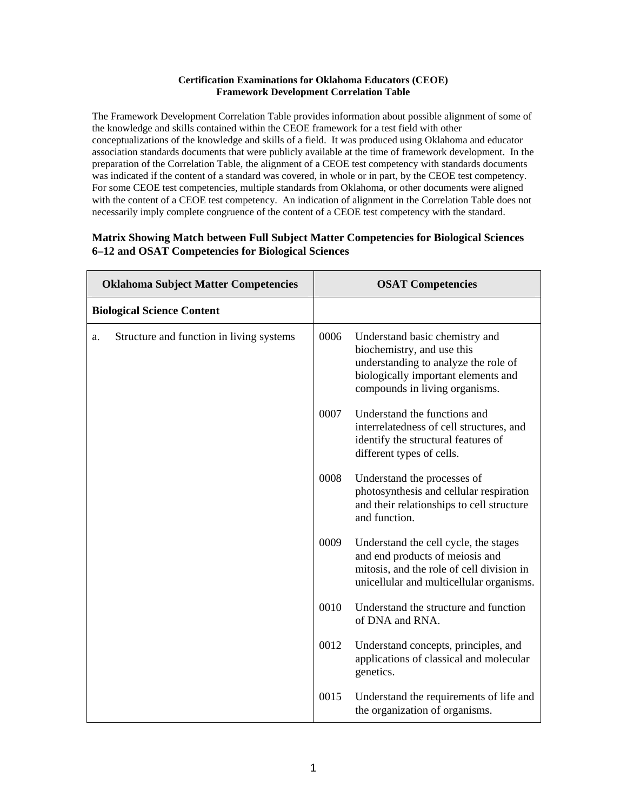## **Certification Examinations for Oklahoma Educators (CEOE) Framework Development Correlation Table**

The Framework Development Correlation Table provides information about possible alignment of some of the knowledge and skills contained within the CEOE framework for a test field with other conceptualizations of the knowledge and skills of a field. It was produced using Oklahoma and educator association standards documents that were publicly available at the time of framework development. In the preparation of the Correlation Table, the alignment of a CEOE test competency with standards documents was indicated if the content of a standard was covered, in whole or in part, by the CEOE test competency. For some CEOE test competencies, multiple standards from Oklahoma, or other documents were aligned with the content of a CEOE test competency. An indication of alignment in the Correlation Table does not necessarily imply complete congruence of the content of a CEOE test competency with the standard.

## **Matrix Showing Match between Full Subject Matter Competencies for Biological Sciences 6–12 and OSAT Competencies for Biological Sciences**

| <b>Oklahoma Subject Matter Competencies</b>    |      | <b>OSAT Competencies</b>                                                                                                                                                      |
|------------------------------------------------|------|-------------------------------------------------------------------------------------------------------------------------------------------------------------------------------|
| <b>Biological Science Content</b>              |      |                                                                                                                                                                               |
| Structure and function in living systems<br>a. | 0006 | Understand basic chemistry and<br>biochemistry, and use this<br>understanding to analyze the role of<br>biologically important elements and<br>compounds in living organisms. |
|                                                | 0007 | Understand the functions and<br>interrelatedness of cell structures, and<br>identify the structural features of<br>different types of cells.                                  |
|                                                | 0008 | Understand the processes of<br>photosynthesis and cellular respiration<br>and their relationships to cell structure<br>and function.                                          |
|                                                | 0009 | Understand the cell cycle, the stages<br>and end products of meiosis and<br>mitosis, and the role of cell division in<br>unicellular and multicellular organisms.             |
|                                                | 0010 | Understand the structure and function<br>of DNA and RNA.                                                                                                                      |
|                                                | 0012 | Understand concepts, principles, and<br>applications of classical and molecular<br>genetics.                                                                                  |
|                                                | 0015 | Understand the requirements of life and<br>the organization of organisms.                                                                                                     |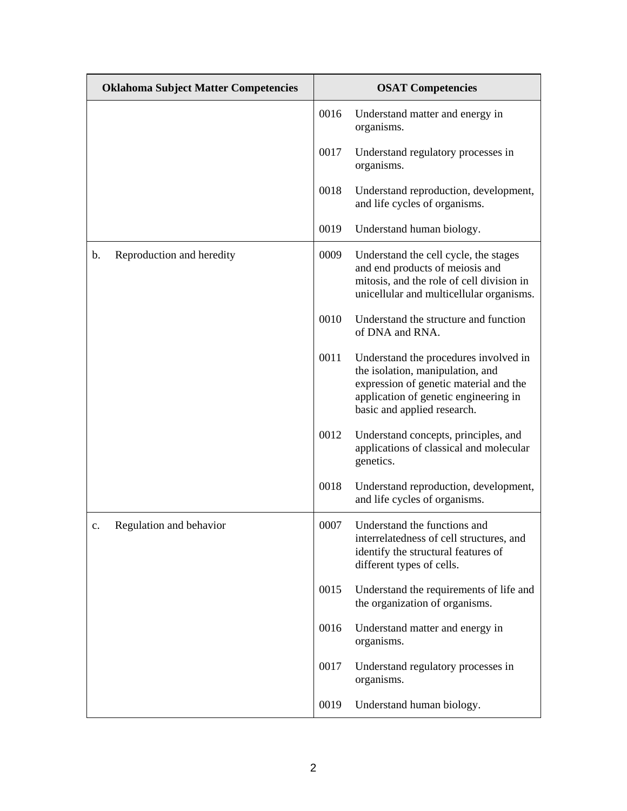| <b>Oklahoma Subject Matter Competencies</b> |      | <b>OSAT Competencies</b>                                                                                                                                                                    |
|---------------------------------------------|------|---------------------------------------------------------------------------------------------------------------------------------------------------------------------------------------------|
|                                             | 0016 | Understand matter and energy in<br>organisms.                                                                                                                                               |
|                                             | 0017 | Understand regulatory processes in<br>organisms.                                                                                                                                            |
|                                             | 0018 | Understand reproduction, development,<br>and life cycles of organisms.                                                                                                                      |
|                                             | 0019 | Understand human biology.                                                                                                                                                                   |
| Reproduction and heredity<br>b.             | 0009 | Understand the cell cycle, the stages<br>and end products of meiosis and<br>mitosis, and the role of cell division in<br>unicellular and multicellular organisms.                           |
|                                             | 0010 | Understand the structure and function<br>of DNA and RNA.                                                                                                                                    |
|                                             | 0011 | Understand the procedures involved in<br>the isolation, manipulation, and<br>expression of genetic material and the<br>application of genetic engineering in<br>basic and applied research. |
|                                             | 0012 | Understand concepts, principles, and<br>applications of classical and molecular<br>genetics.                                                                                                |
|                                             | 0018 | Understand reproduction, development,<br>and life cycles of organisms.                                                                                                                      |
| Regulation and behavior<br>c.               | 0007 | Understand the functions and<br>interrelatedness of cell structures, and<br>identify the structural features of<br>different types of cells.                                                |
|                                             | 0015 | Understand the requirements of life and<br>the organization of organisms.                                                                                                                   |
|                                             | 0016 | Understand matter and energy in<br>organisms.                                                                                                                                               |
|                                             | 0017 | Understand regulatory processes in<br>organisms.                                                                                                                                            |
|                                             | 0019 | Understand human biology.                                                                                                                                                                   |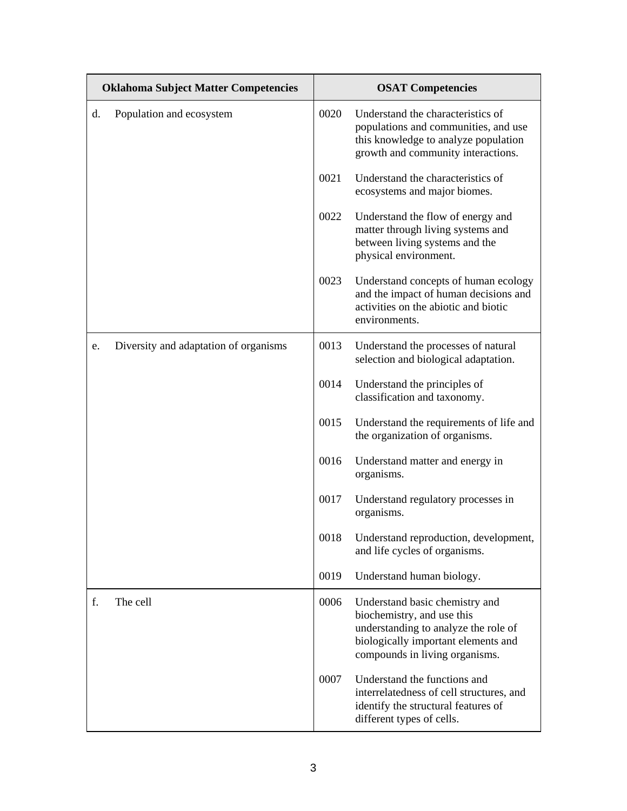|    | <b>Oklahoma Subject Matter Competencies</b> | <b>OSAT Competencies</b> |                                                                                                                                                                               |
|----|---------------------------------------------|--------------------------|-------------------------------------------------------------------------------------------------------------------------------------------------------------------------------|
| d. | Population and ecosystem                    | 0020                     | Understand the characteristics of<br>populations and communities, and use<br>this knowledge to analyze population<br>growth and community interactions.                       |
|    |                                             | 0021                     | Understand the characteristics of<br>ecosystems and major biomes.                                                                                                             |
|    |                                             | 0022                     | Understand the flow of energy and<br>matter through living systems and<br>between living systems and the<br>physical environment.                                             |
|    |                                             | 0023                     | Understand concepts of human ecology<br>and the impact of human decisions and<br>activities on the abiotic and biotic<br>environments.                                        |
| e. | Diversity and adaptation of organisms       | 0013                     | Understand the processes of natural<br>selection and biological adaptation.                                                                                                   |
|    |                                             | 0014                     | Understand the principles of<br>classification and taxonomy.                                                                                                                  |
|    |                                             | 0015                     | Understand the requirements of life and<br>the organization of organisms.                                                                                                     |
|    |                                             | 0016                     | Understand matter and energy in<br>organisms.                                                                                                                                 |
|    |                                             | 0017                     | Understand regulatory processes in<br>organisms.                                                                                                                              |
|    |                                             | 0018                     | Understand reproduction, development,<br>and life cycles of organisms.                                                                                                        |
|    |                                             | 0019                     | Understand human biology.                                                                                                                                                     |
| f. | The cell                                    | 0006                     | Understand basic chemistry and<br>biochemistry, and use this<br>understanding to analyze the role of<br>biologically important elements and<br>compounds in living organisms. |
|    |                                             | 0007                     | Understand the functions and<br>interrelatedness of cell structures, and<br>identify the structural features of<br>different types of cells.                                  |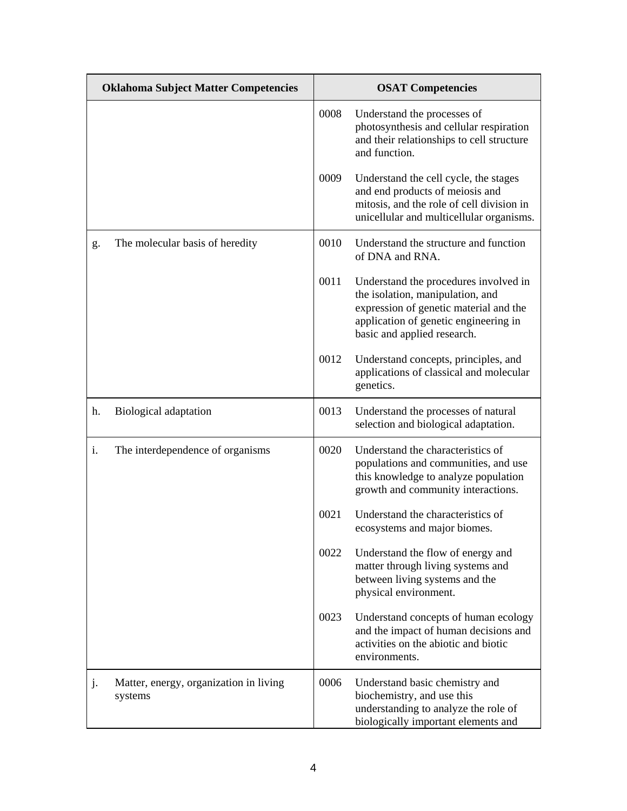|    | <b>Oklahoma Subject Matter Competencies</b>       | <b>OSAT Competencies</b> |                                                                                                                                                                                             |
|----|---------------------------------------------------|--------------------------|---------------------------------------------------------------------------------------------------------------------------------------------------------------------------------------------|
|    |                                                   | 0008                     | Understand the processes of<br>photosynthesis and cellular respiration<br>and their relationships to cell structure<br>and function.                                                        |
|    |                                                   | 0009                     | Understand the cell cycle, the stages<br>and end products of meiosis and<br>mitosis, and the role of cell division in<br>unicellular and multicellular organisms.                           |
| g. | The molecular basis of heredity                   | 0010                     | Understand the structure and function<br>of DNA and RNA.                                                                                                                                    |
|    |                                                   | 0011                     | Understand the procedures involved in<br>the isolation, manipulation, and<br>expression of genetic material and the<br>application of genetic engineering in<br>basic and applied research. |
|    |                                                   | 0012                     | Understand concepts, principles, and<br>applications of classical and molecular<br>genetics.                                                                                                |
| h. | Biological adaptation                             | 0013                     | Understand the processes of natural<br>selection and biological adaptation.                                                                                                                 |
| i. | The interdependence of organisms                  | 0020                     | Understand the characteristics of<br>populations and communities, and use<br>this knowledge to analyze population<br>growth and community interactions.                                     |
|    |                                                   | 0021                     | Understand the characteristics of<br>ecosystems and major biomes.                                                                                                                           |
|    |                                                   | 0022                     | Understand the flow of energy and<br>matter through living systems and<br>between living systems and the<br>physical environment.                                                           |
|    |                                                   | 0023                     | Understand concepts of human ecology<br>and the impact of human decisions and<br>activities on the abiotic and biotic<br>environments.                                                      |
| j. | Matter, energy, organization in living<br>systems | 0006                     | Understand basic chemistry and<br>biochemistry, and use this<br>understanding to analyze the role of<br>biologically important elements and                                                 |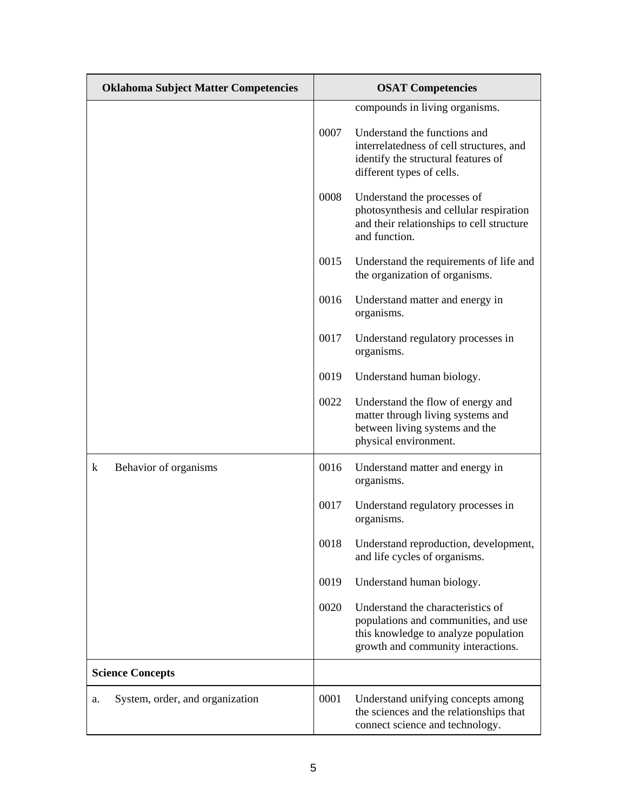| <b>Oklahoma Subject Matter Competencies</b> | <b>OSAT Competencies</b> |                                                                                                                                                         |
|---------------------------------------------|--------------------------|---------------------------------------------------------------------------------------------------------------------------------------------------------|
|                                             |                          | compounds in living organisms.                                                                                                                          |
|                                             | 0007                     | Understand the functions and<br>interrelatedness of cell structures, and<br>identify the structural features of<br>different types of cells.            |
|                                             | 0008                     | Understand the processes of<br>photosynthesis and cellular respiration<br>and their relationships to cell structure<br>and function.                    |
|                                             | 0015                     | Understand the requirements of life and<br>the organization of organisms.                                                                               |
|                                             | 0016                     | Understand matter and energy in<br>organisms.                                                                                                           |
|                                             | 0017                     | Understand regulatory processes in<br>organisms.                                                                                                        |
|                                             | 0019                     | Understand human biology.                                                                                                                               |
|                                             | 0022                     | Understand the flow of energy and<br>matter through living systems and<br>between living systems and the<br>physical environment.                       |
| Behavior of organisms<br>$\bf k$            | 0016                     | Understand matter and energy in<br>organisms.                                                                                                           |
|                                             | 0017                     | Understand regulatory processes in<br>organisms.                                                                                                        |
|                                             | 0018                     | Understand reproduction, development,<br>and life cycles of organisms.                                                                                  |
|                                             | 0019                     | Understand human biology.                                                                                                                               |
|                                             | 0020                     | Understand the characteristics of<br>populations and communities, and use<br>this knowledge to analyze population<br>growth and community interactions. |
| <b>Science Concepts</b>                     |                          |                                                                                                                                                         |
| System, order, and organization<br>a.       | 0001                     | Understand unifying concepts among<br>the sciences and the relationships that<br>connect science and technology.                                        |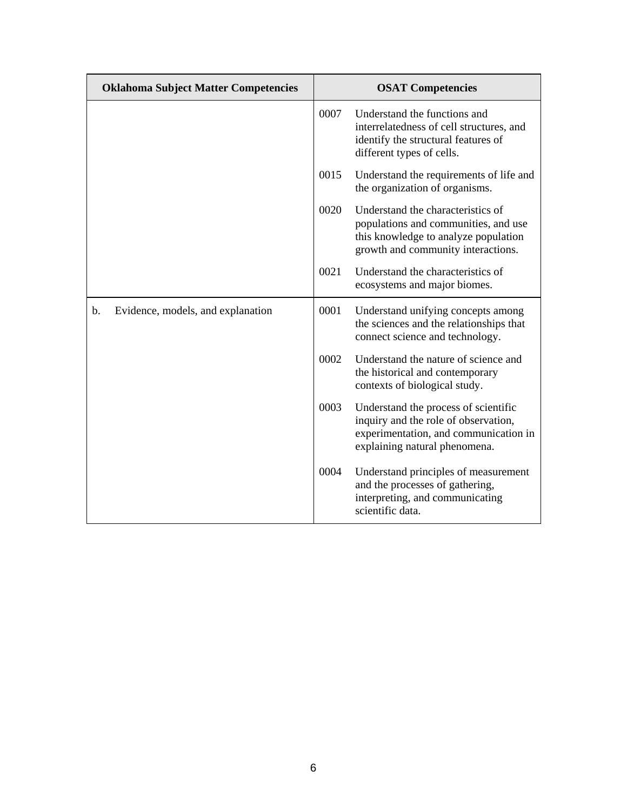| <b>Oklahoma Subject Matter Competencies</b> |      | <b>OSAT Competencies</b>                                                                                                                                |
|---------------------------------------------|------|---------------------------------------------------------------------------------------------------------------------------------------------------------|
|                                             | 0007 | Understand the functions and<br>interrelatedness of cell structures, and<br>identify the structural features of<br>different types of cells.            |
|                                             | 0015 | Understand the requirements of life and<br>the organization of organisms.                                                                               |
|                                             | 0020 | Understand the characteristics of<br>populations and communities, and use<br>this knowledge to analyze population<br>growth and community interactions. |
|                                             | 0021 | Understand the characteristics of<br>ecosystems and major biomes.                                                                                       |
| Evidence, models, and explanation<br>b.     | 0001 | Understand unifying concepts among<br>the sciences and the relationships that<br>connect science and technology.                                        |
|                                             | 0002 | Understand the nature of science and<br>the historical and contemporary<br>contexts of biological study.                                                |
|                                             | 0003 | Understand the process of scientific<br>inquiry and the role of observation,<br>experimentation, and communication in<br>explaining natural phenomena.  |
|                                             | 0004 | Understand principles of measurement<br>and the processes of gathering,<br>interpreting, and communicating<br>scientific data.                          |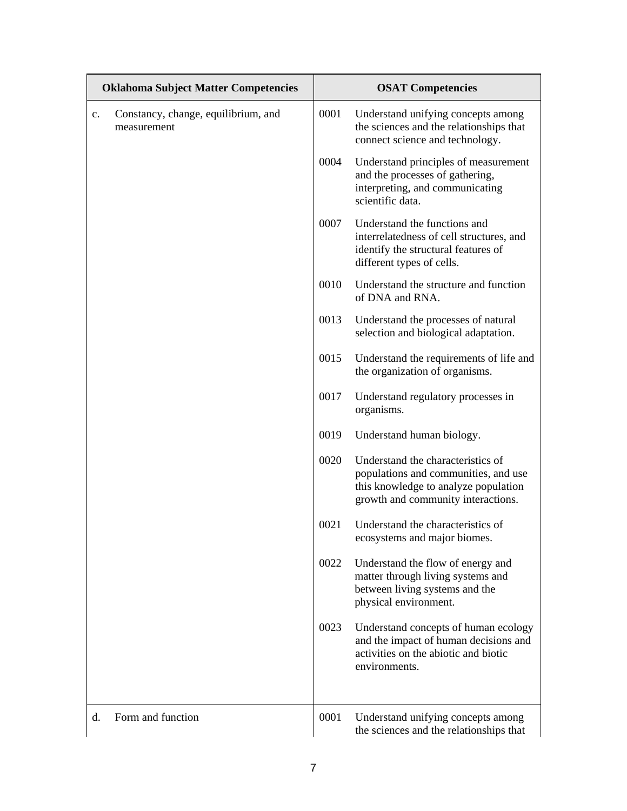|                | <b>Oklahoma Subject Matter Competencies</b>        | <b>OSAT Competencies</b> |                                                                                                                                                         |
|----------------|----------------------------------------------------|--------------------------|---------------------------------------------------------------------------------------------------------------------------------------------------------|
| $\mathbf{c}$ . | Constancy, change, equilibrium, and<br>measurement | 0001                     | Understand unifying concepts among<br>the sciences and the relationships that<br>connect science and technology.                                        |
|                |                                                    | 0004                     | Understand principles of measurement<br>and the processes of gathering,<br>interpreting, and communicating<br>scientific data.                          |
|                |                                                    | 0007                     | Understand the functions and<br>interrelatedness of cell structures, and<br>identify the structural features of<br>different types of cells.            |
|                |                                                    | 0010                     | Understand the structure and function<br>of DNA and RNA.                                                                                                |
|                |                                                    | 0013                     | Understand the processes of natural<br>selection and biological adaptation.                                                                             |
|                |                                                    | 0015                     | Understand the requirements of life and<br>the organization of organisms.                                                                               |
|                |                                                    | 0017                     | Understand regulatory processes in<br>organisms.                                                                                                        |
|                |                                                    | 0019                     | Understand human biology.                                                                                                                               |
|                |                                                    | 0020                     | Understand the characteristics of<br>populations and communities, and use<br>this knowledge to analyze population<br>growth and community interactions. |
|                |                                                    | 0021                     | Understand the characteristics of<br>ecosystems and major biomes.                                                                                       |
|                |                                                    | 0022                     | Understand the flow of energy and<br>matter through living systems and<br>between living systems and the<br>physical environment.                       |
|                |                                                    | 0023                     | Understand concepts of human ecology<br>and the impact of human decisions and<br>activities on the abiotic and biotic<br>environments.                  |
| d.             | Form and function                                  | 0001                     | Understand unifying concepts among<br>the sciences and the relationships that                                                                           |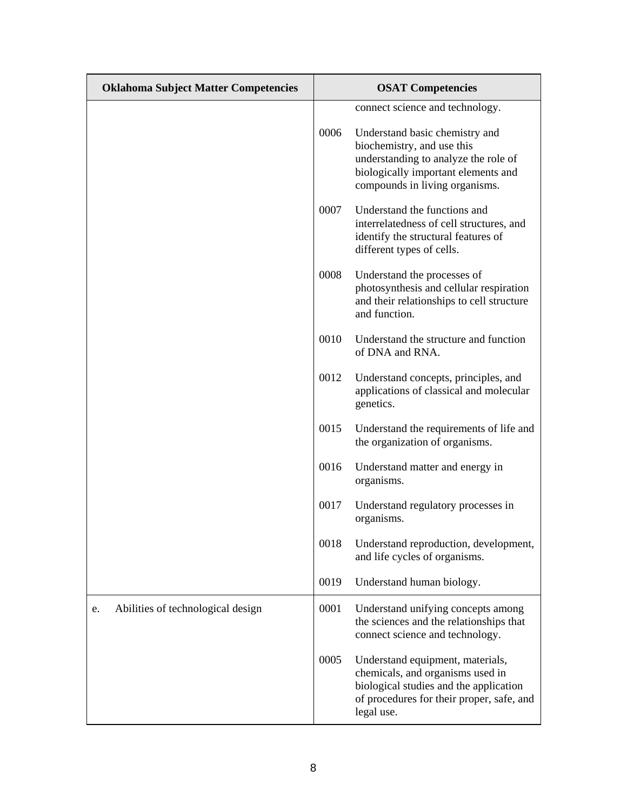| <b>Oklahoma Subject Matter Competencies</b> | <b>OSAT Competencies</b> |                                                                                                                                                                               |
|---------------------------------------------|--------------------------|-------------------------------------------------------------------------------------------------------------------------------------------------------------------------------|
|                                             |                          | connect science and technology.                                                                                                                                               |
|                                             | 0006                     | Understand basic chemistry and<br>biochemistry, and use this<br>understanding to analyze the role of<br>biologically important elements and<br>compounds in living organisms. |
|                                             | 0007                     | Understand the functions and<br>interrelatedness of cell structures, and<br>identify the structural features of<br>different types of cells.                                  |
|                                             | 0008                     | Understand the processes of<br>photosynthesis and cellular respiration<br>and their relationships to cell structure<br>and function.                                          |
|                                             | 0010                     | Understand the structure and function<br>of DNA and RNA.                                                                                                                      |
|                                             | 0012                     | Understand concepts, principles, and<br>applications of classical and molecular<br>genetics.                                                                                  |
|                                             | 0015                     | Understand the requirements of life and<br>the organization of organisms.                                                                                                     |
|                                             | 0016                     | Understand matter and energy in<br>organisms.                                                                                                                                 |
|                                             | 0017                     | Understand regulatory processes in<br>organisms.                                                                                                                              |
|                                             | 0018                     | Understand reproduction, development,<br>and life cycles of organisms.                                                                                                        |
|                                             | 0019                     | Understand human biology.                                                                                                                                                     |
| Abilities of technological design<br>e.     | 0001                     | Understand unifying concepts among<br>the sciences and the relationships that<br>connect science and technology.                                                              |
|                                             | 0005                     | Understand equipment, materials,<br>chemicals, and organisms used in<br>biological studies and the application<br>of procedures for their proper, safe, and<br>legal use.     |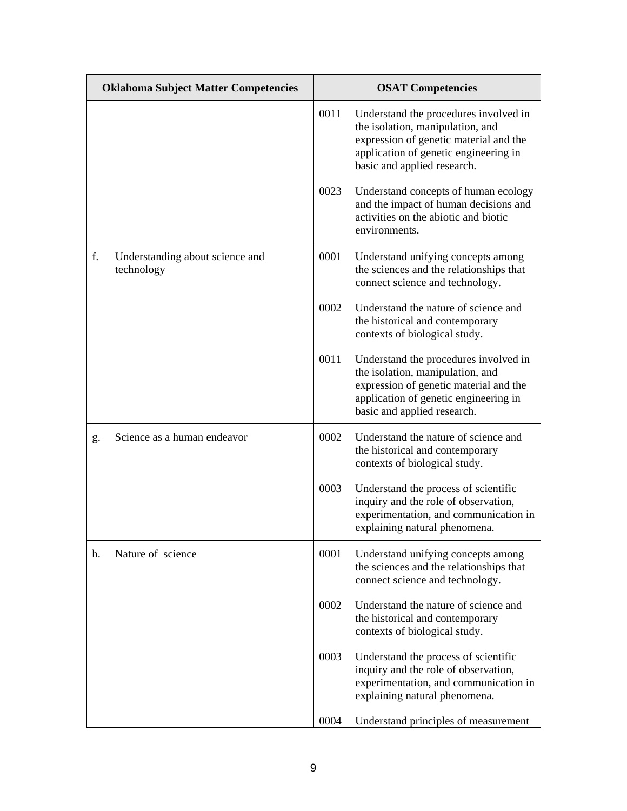| <b>Oklahoma Subject Matter Competencies</b>         | <b>OSAT Competencies</b> |                                                                                                                                                                                             |
|-----------------------------------------------------|--------------------------|---------------------------------------------------------------------------------------------------------------------------------------------------------------------------------------------|
|                                                     | 0011                     | Understand the procedures involved in<br>the isolation, manipulation, and<br>expression of genetic material and the<br>application of genetic engineering in<br>basic and applied research. |
|                                                     | 0023                     | Understand concepts of human ecology<br>and the impact of human decisions and<br>activities on the abiotic and biotic<br>environments.                                                      |
| f.<br>Understanding about science and<br>technology | 0001                     | Understand unifying concepts among<br>the sciences and the relationships that<br>connect science and technology.                                                                            |
|                                                     | 0002                     | Understand the nature of science and<br>the historical and contemporary<br>contexts of biological study.                                                                                    |
|                                                     | 0011                     | Understand the procedures involved in<br>the isolation, manipulation, and<br>expression of genetic material and the<br>application of genetic engineering in<br>basic and applied research. |
| Science as a human endeavor<br>g.                   | 0002                     | Understand the nature of science and<br>the historical and contemporary<br>contexts of biological study.                                                                                    |
|                                                     | 0003                     | Understand the process of scientific<br>inquiry and the role of observation,<br>experimentation, and communication in<br>explaining natural phenomena.                                      |
| Nature of science<br>h.                             | 0001                     | Understand unifying concepts among<br>the sciences and the relationships that<br>connect science and technology.                                                                            |
|                                                     | 0002                     | Understand the nature of science and<br>the historical and contemporary<br>contexts of biological study.                                                                                    |
|                                                     | 0003                     | Understand the process of scientific<br>inquiry and the role of observation,<br>experimentation, and communication in<br>explaining natural phenomena.                                      |
|                                                     | 0004                     | Understand principles of measurement                                                                                                                                                        |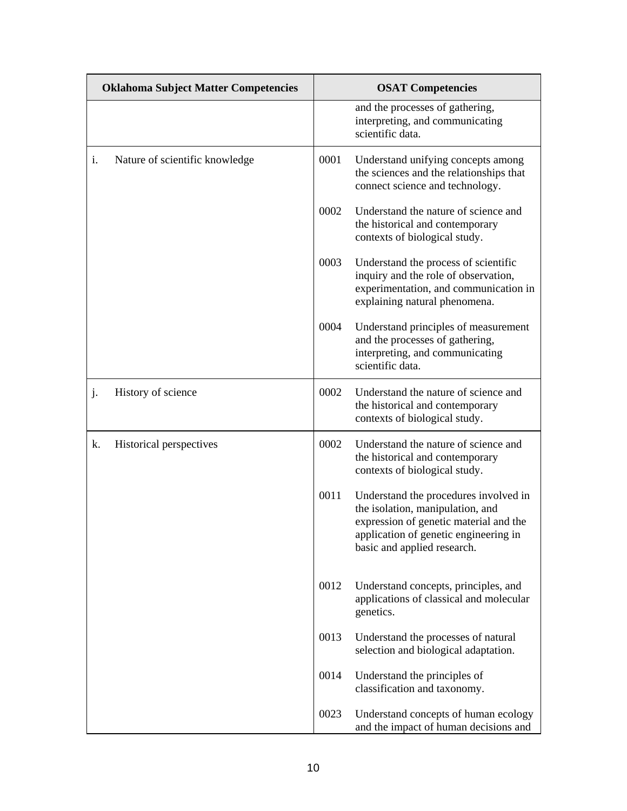|    | <b>Oklahoma Subject Matter Competencies</b> |      | <b>OSAT Competencies</b>                                                                                                                                                                    |
|----|---------------------------------------------|------|---------------------------------------------------------------------------------------------------------------------------------------------------------------------------------------------|
|    |                                             |      | and the processes of gathering,<br>interpreting, and communicating<br>scientific data.                                                                                                      |
| i. | Nature of scientific knowledge              | 0001 | Understand unifying concepts among<br>the sciences and the relationships that<br>connect science and technology.                                                                            |
|    |                                             | 0002 | Understand the nature of science and<br>the historical and contemporary<br>contexts of biological study.                                                                                    |
|    |                                             | 0003 | Understand the process of scientific<br>inquiry and the role of observation,<br>experimentation, and communication in<br>explaining natural phenomena.                                      |
|    |                                             | 0004 | Understand principles of measurement<br>and the processes of gathering,<br>interpreting, and communicating<br>scientific data.                                                              |
| j. | History of science                          | 0002 | Understand the nature of science and<br>the historical and contemporary<br>contexts of biological study.                                                                                    |
| k. | Historical perspectives                     | 0002 | Understand the nature of science and<br>the historical and contemporary<br>contexts of biological study.                                                                                    |
|    |                                             | 0011 | Understand the procedures involved in<br>the isolation, manipulation, and<br>expression of genetic material and the<br>application of genetic engineering in<br>basic and applied research. |
|    |                                             | 0012 | Understand concepts, principles, and<br>applications of classical and molecular<br>genetics.                                                                                                |
|    |                                             | 0013 | Understand the processes of natural<br>selection and biological adaptation.                                                                                                                 |
|    |                                             | 0014 | Understand the principles of<br>classification and taxonomy.                                                                                                                                |
|    |                                             | 0023 | Understand concepts of human ecology<br>and the impact of human decisions and                                                                                                               |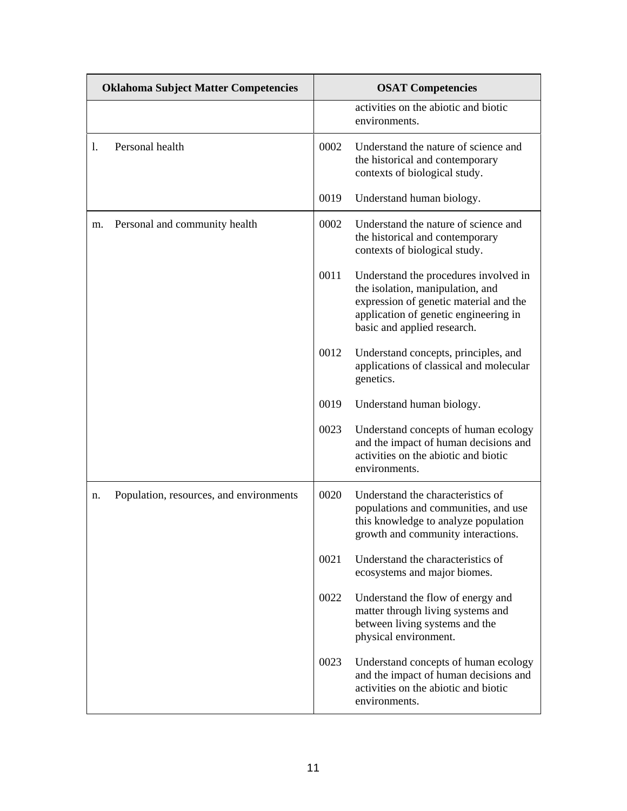|    | <b>Oklahoma Subject Matter Competencies</b> |      | <b>OSAT Competencies</b>                                                                                                                                                                    |
|----|---------------------------------------------|------|---------------------------------------------------------------------------------------------------------------------------------------------------------------------------------------------|
|    |                                             |      | activities on the abiotic and biotic<br>environments.                                                                                                                                       |
| I. | Personal health                             | 0002 | Understand the nature of science and<br>the historical and contemporary<br>contexts of biological study.                                                                                    |
|    |                                             | 0019 | Understand human biology.                                                                                                                                                                   |
| m. | Personal and community health               | 0002 | Understand the nature of science and<br>the historical and contemporary<br>contexts of biological study.                                                                                    |
|    |                                             | 0011 | Understand the procedures involved in<br>the isolation, manipulation, and<br>expression of genetic material and the<br>application of genetic engineering in<br>basic and applied research. |
|    |                                             | 0012 | Understand concepts, principles, and<br>applications of classical and molecular<br>genetics.                                                                                                |
|    |                                             | 0019 | Understand human biology.                                                                                                                                                                   |
|    |                                             | 0023 | Understand concepts of human ecology<br>and the impact of human decisions and<br>activities on the abiotic and biotic<br>environments.                                                      |
| n. | Population, resources, and environments     | 0020 | Understand the characteristics of<br>populations and communities, and use<br>this knowledge to analyze population<br>growth and community interactions.                                     |
|    |                                             | 0021 | Understand the characteristics of<br>ecosystems and major biomes.                                                                                                                           |
|    |                                             | 0022 | Understand the flow of energy and<br>matter through living systems and<br>between living systems and the<br>physical environment.                                                           |
|    |                                             | 0023 | Understand concepts of human ecology<br>and the impact of human decisions and<br>activities on the abiotic and biotic<br>environments.                                                      |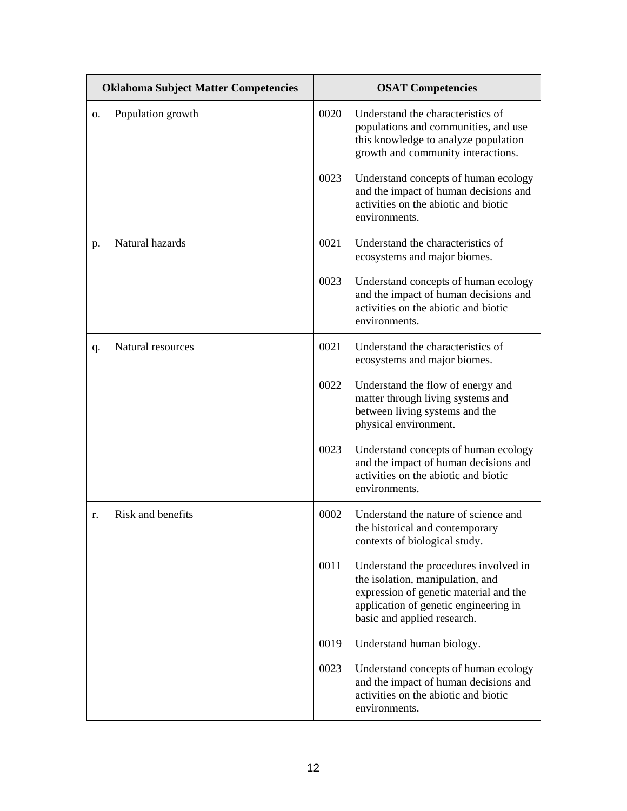|    | <b>Oklahoma Subject Matter Competencies</b> |      | <b>OSAT Competencies</b>                                                                                                                                                                    |  |
|----|---------------------------------------------|------|---------------------------------------------------------------------------------------------------------------------------------------------------------------------------------------------|--|
| О. | Population growth                           | 0020 | Understand the characteristics of<br>populations and communities, and use<br>this knowledge to analyze population<br>growth and community interactions.                                     |  |
|    |                                             | 0023 | Understand concepts of human ecology<br>and the impact of human decisions and<br>activities on the abiotic and biotic<br>environments.                                                      |  |
| p. | Natural hazards                             | 0021 | Understand the characteristics of<br>ecosystems and major biomes.                                                                                                                           |  |
|    |                                             | 0023 | Understand concepts of human ecology<br>and the impact of human decisions and<br>activities on the abiotic and biotic<br>environments.                                                      |  |
| q. | Natural resources                           | 0021 | Understand the characteristics of<br>ecosystems and major biomes.                                                                                                                           |  |
|    |                                             | 0022 | Understand the flow of energy and<br>matter through living systems and<br>between living systems and the<br>physical environment.                                                           |  |
|    |                                             | 0023 | Understand concepts of human ecology<br>and the impact of human decisions and<br>activities on the abiotic and biotic<br>environments.                                                      |  |
| r. | Risk and benefits                           | 0002 | Understand the nature of science and<br>the historical and contemporary<br>contexts of biological study.                                                                                    |  |
|    |                                             | 0011 | Understand the procedures involved in<br>the isolation, manipulation, and<br>expression of genetic material and the<br>application of genetic engineering in<br>basic and applied research. |  |
|    |                                             | 0019 | Understand human biology.                                                                                                                                                                   |  |
|    |                                             | 0023 | Understand concepts of human ecology<br>and the impact of human decisions and<br>activities on the abiotic and biotic<br>environments.                                                      |  |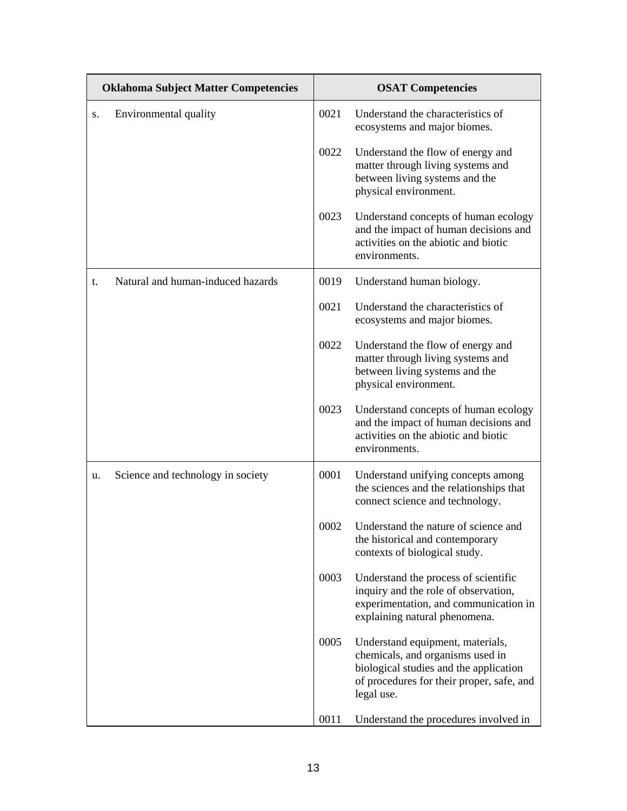| <b>Oklahoma Subject Matter Competencies</b> |                                   | <b>OSAT Competencies</b> |                                                                                                                                                                           |
|---------------------------------------------|-----------------------------------|--------------------------|---------------------------------------------------------------------------------------------------------------------------------------------------------------------------|
| S.                                          | Environmental quality             | 0021                     | Understand the characteristics of<br>ecosystems and major biomes.                                                                                                         |
|                                             |                                   | 0022                     | Understand the flow of energy and<br>matter through living systems and<br>between living systems and the<br>physical environment.                                         |
|                                             |                                   | 0023                     | Understand concepts of human ecology<br>and the impact of human decisions and<br>activities on the abiotic and biotic<br>environments.                                    |
| t.                                          | Natural and human-induced hazards | 0019                     | Understand human biology.                                                                                                                                                 |
|                                             |                                   | 0021                     | Understand the characteristics of<br>ecosystems and major biomes.                                                                                                         |
|                                             |                                   | 0022                     | Understand the flow of energy and<br>matter through living systems and<br>between living systems and the<br>physical environment.                                         |
|                                             |                                   | 0023                     | Understand concepts of human ecology<br>and the impact of human decisions and<br>activities on the abiotic and biotic<br>environments.                                    |
| u.                                          | Science and technology in society | 0001                     | Understand unifying concepts among<br>the sciences and the relationships that<br>connect science and technology.                                                          |
|                                             |                                   | 0002                     | Understand the nature of science and<br>the historical and contemporary<br>contexts of biological study.                                                                  |
|                                             |                                   | 0003                     | Understand the process of scientific<br>inquiry and the role of observation,<br>experimentation, and communication in<br>explaining natural phenomena.                    |
|                                             |                                   | 0005                     | Understand equipment, materials,<br>chemicals, and organisms used in<br>biological studies and the application<br>of procedures for their proper, safe, and<br>legal use. |
|                                             |                                   | 0011                     | Understand the procedures involved in                                                                                                                                     |